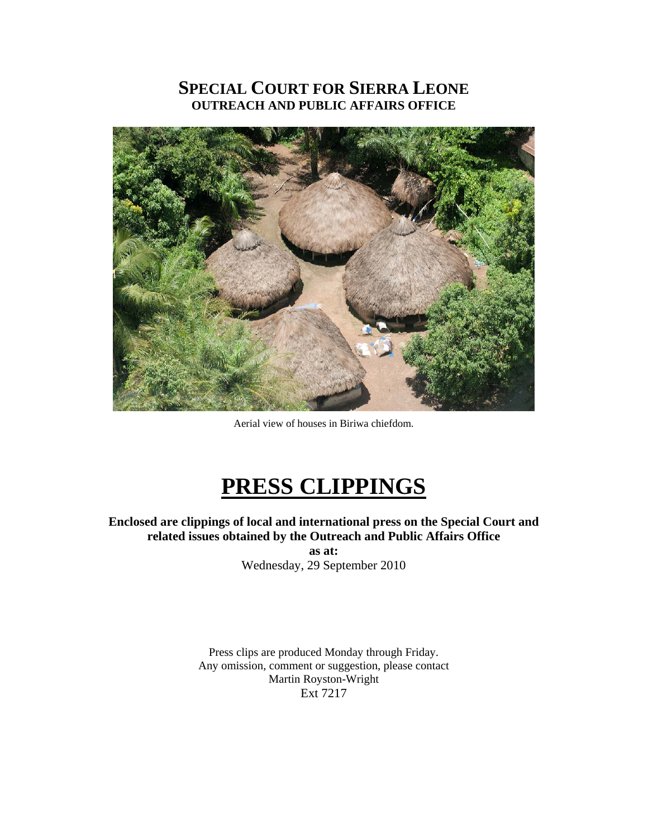# **SPECIAL COURT FOR SIERRA LEONE OUTREACH AND PUBLIC AFFAIRS OFFICE**



Aerial view of houses in Biriwa chiefdom.

# **PRESS CLIPPINGS**

**Enclosed are clippings of local and international press on the Special Court and related issues obtained by the Outreach and Public Affairs Office as at:** 

Wednesday, 29 September 2010

Press clips are produced Monday through Friday. Any omission, comment or suggestion, please contact Martin Royston-Wright Ext 7217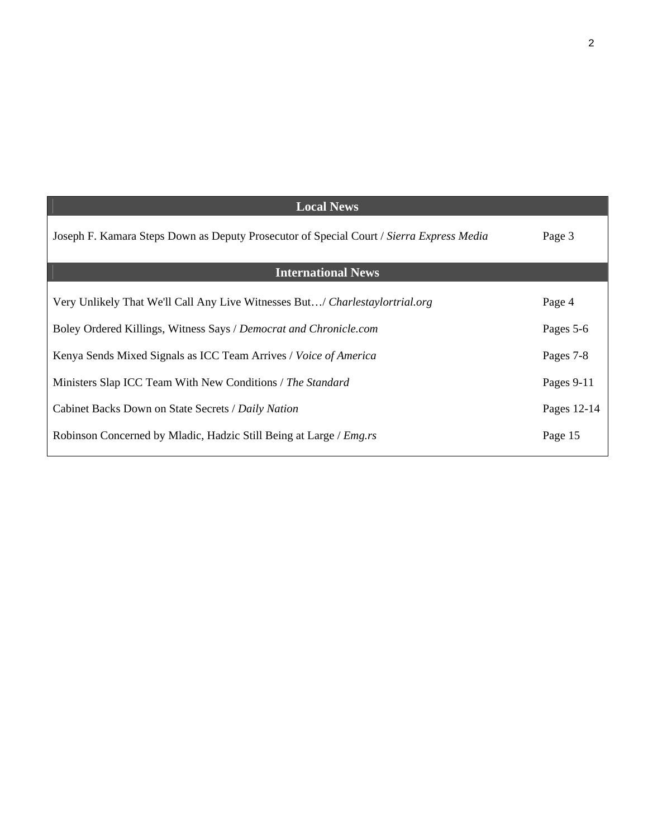| <b>Local News</b>                                                                        |             |
|------------------------------------------------------------------------------------------|-------------|
| Joseph F. Kamara Steps Down as Deputy Prosecutor of Special Court / Sierra Express Media | Page 3      |
| <b>International News</b>                                                                |             |
| Very Unlikely That We'll Call Any Live Witnesses But/ Charlestaylortrial.org             | Page 4      |
| Boley Ordered Killings, Witness Says / Democrat and Chronicle.com                        | Pages 5-6   |
| Kenya Sends Mixed Signals as ICC Team Arrives / Voice of America                         | Pages 7-8   |
| Ministers Slap ICC Team With New Conditions / The Standard                               | Pages 9-11  |
| Cabinet Backs Down on State Secrets / Daily Nation                                       | Pages 12-14 |
| Robinson Concerned by Mladic, Hadzic Still Being at Large / <i>Emg.rs</i>                | Page 15     |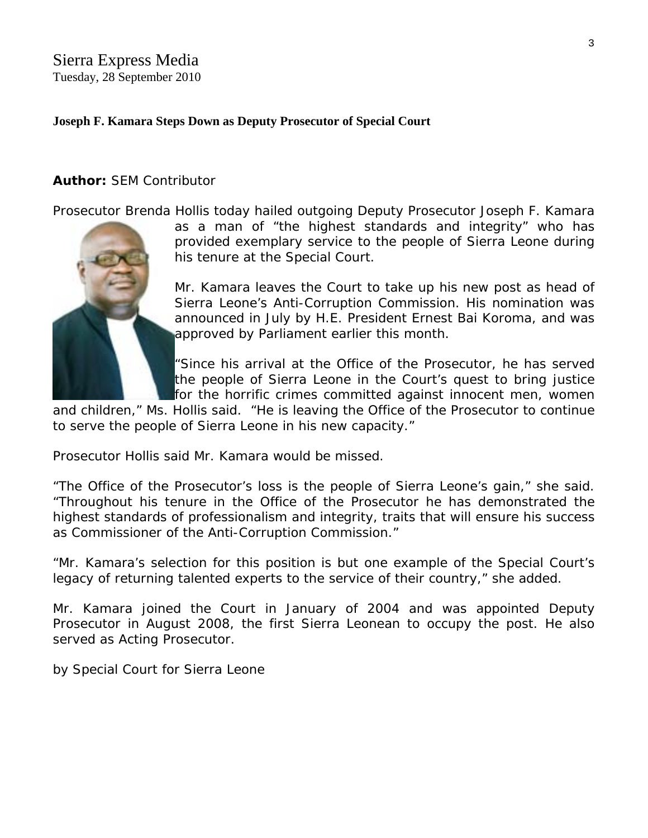# Sierra Express Media Tuesday, 28 September 2010

# **Joseph F. Kamara Steps Down as Deputy Prosecutor of Special Court**

# **Author:** SEM Contributor

[Prosecutor Brenda H](http://www.sierraexpressmedia.com/archives/14169)ollis today hailed outgoing Deputy Prosecutor Joseph F. Kamara

as a man of "the highest standards and integrity" who has provided exemplary service to the people of Sierra Leone during his tenure at the Special Court.

Mr. Kamara leaves the Court to take up his new post as head of Sierra Leone's Anti-Corruption Commission. His nomination was announced in July by H.E. President Ernest Bai Koroma, and was approved by Parliament earlier this month.

"Since his arrival at the Office of the Prosecutor, he has served the people of Sierra Leone in the Court's quest to bring justice for the horrific crimes committed against innocent men, women

and children," Ms. Hollis said. "He is leaving the Office of the Prosecutor to continue to serve the people of Sierra Leone in his new capacity."

Prosecutor Hollis said Mr. Kamara would be missed.

"The Office of the Prosecutor's loss is the people of Sierra Leone's gain," she said. "Throughout his tenure in the Office of the Prosecutor he has demonstrated the highest standards of professionalism and integrity, traits that will ensure his success as Commissioner of the Anti-Corruption Commission."

"Mr. Kamara's selection for this position is but one example of the Special Court's legacy of returning talented experts to the service of their country," she added.

Mr. Kamara joined the Court in January of 2004 and was appointed Deputy Prosecutor in August 2008, the first Sierra Leonean to occupy the post. He also served as Acting Prosecutor.

*by Special Court for Sierra Leone*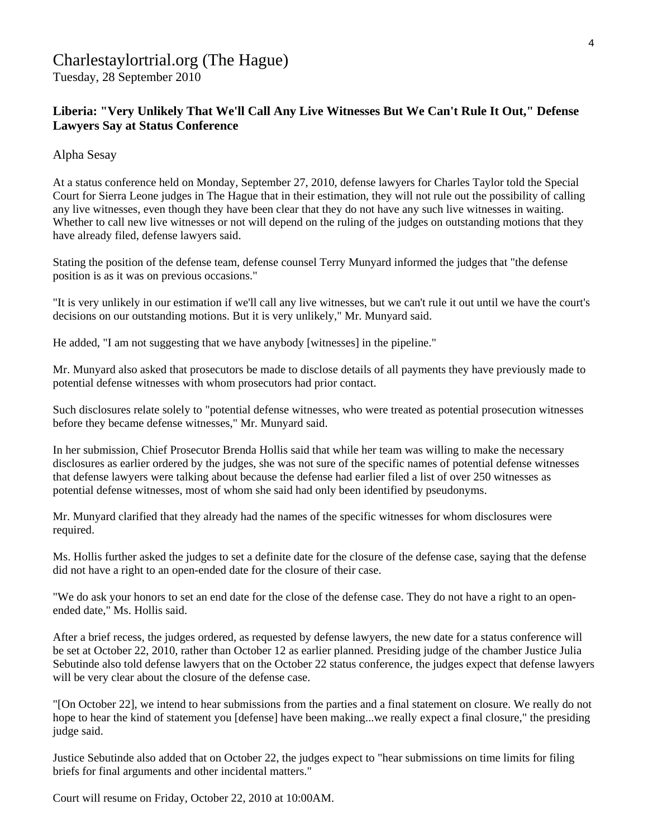# Charlestaylortrial.org (The Hague)

Tuesday, 28 September 2010

# **Liberia: "Very Unlikely That We'll Call Any Live Witnesses But We Can't Rule It Out," Defense Lawyers Say at Status Conference**

Alpha Sesay

At a status conference held on Monday, September 27, 2010, defense lawyers for Charles Taylor told the Special Court for Sierra Leone judges in The Hague that in their estimation, they will not rule out the possibility of calling any live witnesses, even though they have been clear that they do not have any such live witnesses in waiting. Whether to call new live witnesses or not will depend on the ruling of the judges on outstanding motions that they have already filed, defense lawyers said.

Stating the position of the defense team, defense counsel Terry Munyard informed the judges that "the defense position is as it was on previous occasions."

"It is very unlikely in our estimation if we'll call any live witnesses, but we can't rule it out until we have the court's decisions on our outstanding motions. But it is very unlikely," Mr. Munyard said.

He added, "I am not suggesting that we have anybody [witnesses] in the pipeline."

Mr. Munyard also asked that prosecutors be made to disclose details of all payments they have previously made to potential defense witnesses with whom prosecutors had prior contact.

Such disclosures relate solely to "potential defense witnesses, who were treated as potential prosecution witnesses before they became defense witnesses," Mr. Munyard said.

In her submission, Chief Prosecutor Brenda Hollis said that while her team was willing to make the necessary disclosures as earlier ordered by the judges, she was not sure of the specific names of potential defense witnesses that defense lawyers were talking about because the defense had earlier filed a list of over 250 witnesses as potential defense witnesses, most of whom she said had only been identified by pseudonyms.

Mr. Munyard clarified that they already had the names of the specific witnesses for whom disclosures were required.

Ms. Hollis further asked the judges to set a definite date for the closure of the defense case, saying that the defense did not have a right to an open-ended date for the closure of their case.

"We do ask your honors to set an end date for the close of the defense case. They do not have a right to an openended date," Ms. Hollis said.

After a brief recess, the judges ordered, as requested by defense lawyers, the new date for a status conference will be set at October 22, 2010, rather than October 12 as earlier planned. Presiding judge of the chamber Justice Julia Sebutinde also told defense lawyers that on the October 22 status conference, the judges expect that defense lawyers will be very clear about the closure of the defense case.

"[On October 22], we intend to hear submissions from the parties and a final statement on closure. We really do not hope to hear the kind of statement you [defense] have been making...we really expect a final closure," the presiding judge said.

Justice Sebutinde also added that on October 22, the judges expect to "hear submissions on time limits for filing briefs for final arguments and other incidental matters."

Court will resume on Friday, October 22, 2010 at 10:00AM.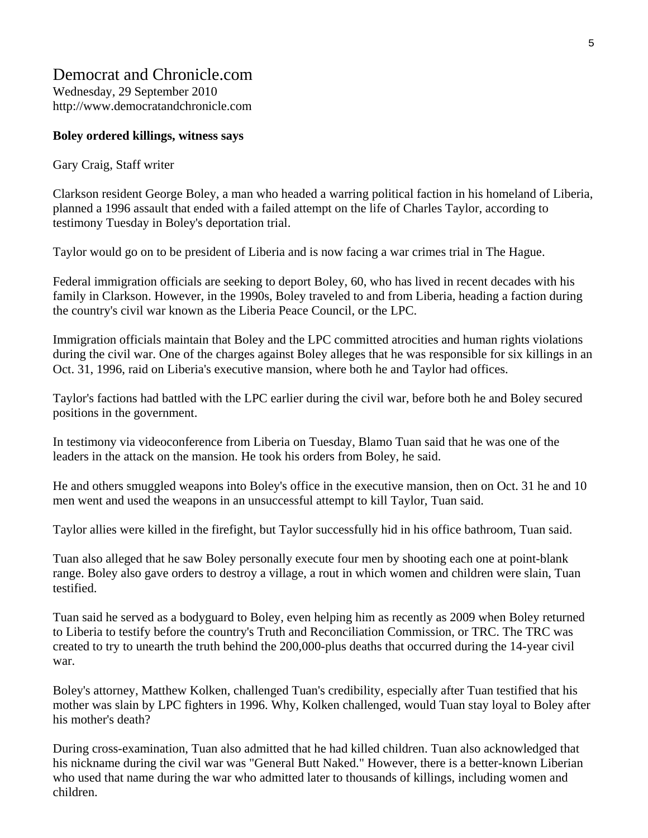# Democrat and Chronicle.com

Wednesday, 29 September 2010 http://www.democratandchronicle.com

# **Boley ordered killings, witness says**

Gary Craig, Staff writer

Clarkson resident George Boley, a man who headed a warring political faction in his homeland of Liberia, planned a 1996 assault that ended with a failed attempt on the life of Charles Taylor, according to testimony Tuesday in Boley's deportation trial.

Taylor would go on to be president of Liberia and is now facing a war crimes trial in The Hague.

Federal immigration officials are seeking to deport Boley, 60, who has lived in recent decades with his family in Clarkson. However, in the 1990s, Boley traveled to and from Liberia, heading a faction during the country's civil war known as the Liberia Peace Council, or the LPC.

Immigration officials maintain that Boley and the LPC committed atrocities and human rights violations during the civil war. One of the charges against Boley alleges that he was responsible for six killings in an Oct. 31, 1996, raid on Liberia's executive mansion, where both he and Taylor had offices.

Taylor's factions had battled with the LPC earlier during the civil war, before both he and Boley secured positions in the government.

In testimony via videoconference from Liberia on Tuesday, Blamo Tuan said that he was one of the leaders in the attack on the mansion. He took his orders from Boley, he said.

He and others smuggled weapons into Boley's office in the executive mansion, then on Oct. 31 he and 10 men went and used the weapons in an unsuccessful attempt to kill Taylor, Tuan said.

Taylor allies were killed in the firefight, but Taylor successfully hid in his office bathroom, Tuan said.

Tuan also alleged that he saw Boley personally execute four men by shooting each one at point-blank range. Boley also gave orders to destroy a village, a rout in which women and children were slain, Tuan testified.

Tuan said he served as a bodyguard to Boley, even helping him as recently as 2009 when Boley returned to Liberia to testify before the country's Truth and Reconciliation Commission, or TRC. The TRC was created to try to unearth the truth behind the 200,000-plus deaths that occurred during the 14-year civil war.

Boley's attorney, Matthew Kolken, challenged Tuan's credibility, especially after Tuan testified that his mother was slain by LPC fighters in 1996. Why, Kolken challenged, would Tuan stay loyal to Boley after his mother's death?

During cross-examination, Tuan also admitted that he had killed children. Tuan also acknowledged that his nickname during the civil war was "General Butt Naked." However, there is a better-known Liberian who used that name during the war who admitted later to thousands of killings, including women and children.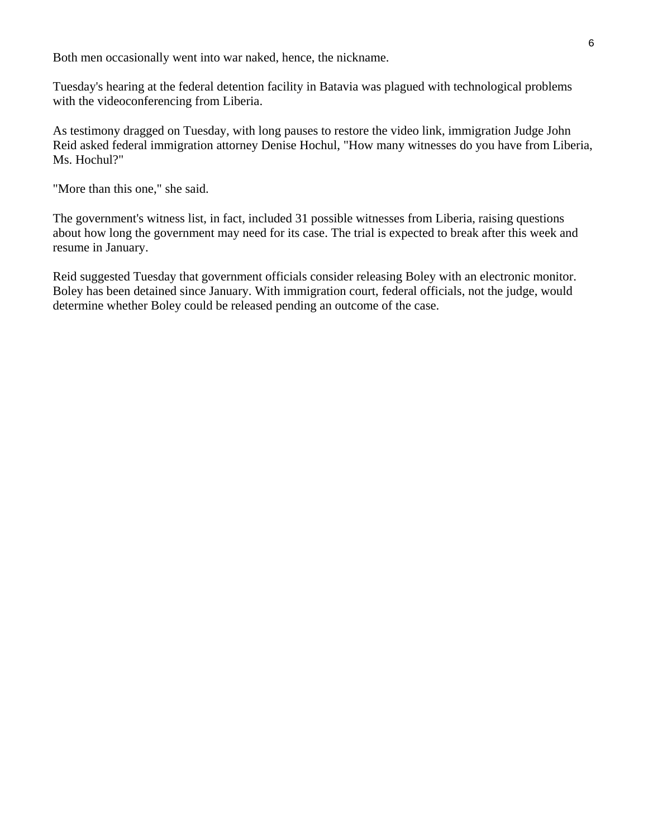Both men occasionally went into war naked, hence, the nickname.

Tuesday's hearing at the federal detention facility in Batavia was plagued with technological problems with the videoconferencing from Liberia.

As testimony dragged on Tuesday, with long pauses to restore the video link, immigration Judge John Reid asked federal immigration attorney Denise Hochul, "How many witnesses do you have from Liberia, Ms. Hochul?"

"More than this one," she said.

The government's witness list, in fact, included 31 possible witnesses from Liberia, raising questions about how long the government may need for its case. The trial is expected to break after this week and resume in January.

Reid suggested Tuesday that government officials consider releasing Boley with an electronic monitor. Boley has been detained since January. With immigration court, federal officials, not the judge, would determine whether Boley could be released pending an outcome of the case.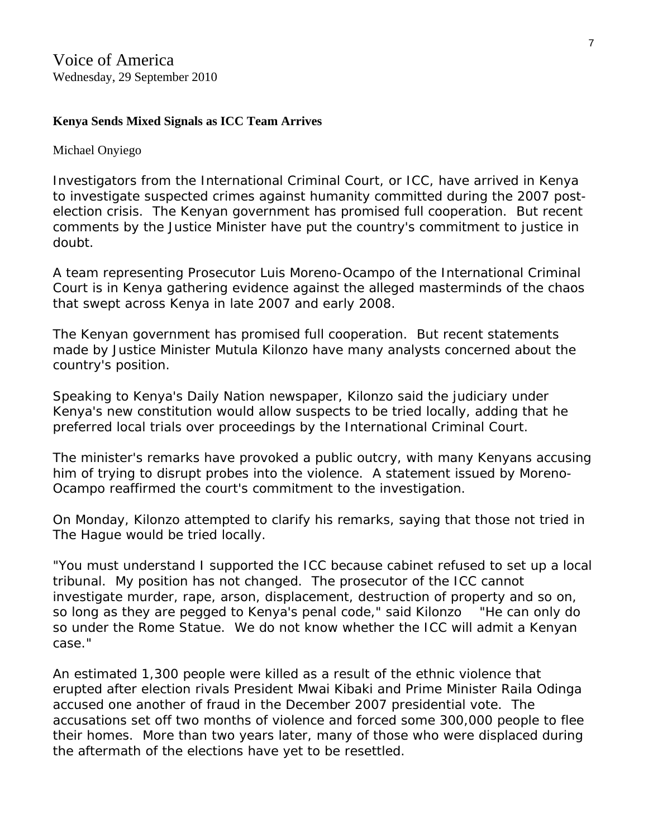# **Kenya Sends Mixed Signals as ICC Team Arrives**

Michael Onyiego

Investigators from the International Criminal Court, or ICC, have arrived in Kenya to investigate suspected crimes against humanity committed during the 2007 postelection crisis. The Kenyan government has promised full cooperation. But recent comments by the Justice Minister have put the country's commitment to justice in doubt.

A team representing Prosecutor Luis Moreno-Ocampo of the International Criminal Court is in Kenya gathering evidence against the alleged masterminds of the chaos that swept across Kenya in late 2007 and early 2008.

The Kenyan government has promised full cooperation. But recent statements made by Justice Minister Mutula Kilonzo have many analysts concerned about the country's position.

Speaking to Kenya's *Daily Nation* newspaper, Kilonzo said the judiciary under Kenya's new constitution would allow suspects to be tried locally, adding that he preferred local trials over proceedings by the International Criminal Court.

The minister's remarks have provoked a public outcry, with many Kenyans accusing him of trying to disrupt probes into the violence. A statement issued by Moreno-Ocampo reaffirmed the court's commitment to the investigation.

On Monday, Kilonzo attempted to clarify his remarks, saying that those not tried in The Hague would be tried locally.

"You must understand I supported the ICC because cabinet refused to set up a local tribunal. My position has not changed. The prosecutor of the ICC cannot investigate murder, rape, arson, displacement, destruction of property and so on, so long as they are pegged to Kenya's penal code," said Kilonzo "He can only do so under the Rome Statue. We do not know whether the ICC will admit a Kenyan case."

An estimated 1,300 people were killed as a result of the ethnic violence that erupted after election rivals President Mwai Kibaki and Prime Minister Raila Odinga accused one another of fraud in the December 2007 presidential vote. The accusations set off two months of violence and forced some 300,000 people to flee their homes. More than two years later, many of those who were displaced during the aftermath of the elections have yet to be resettled.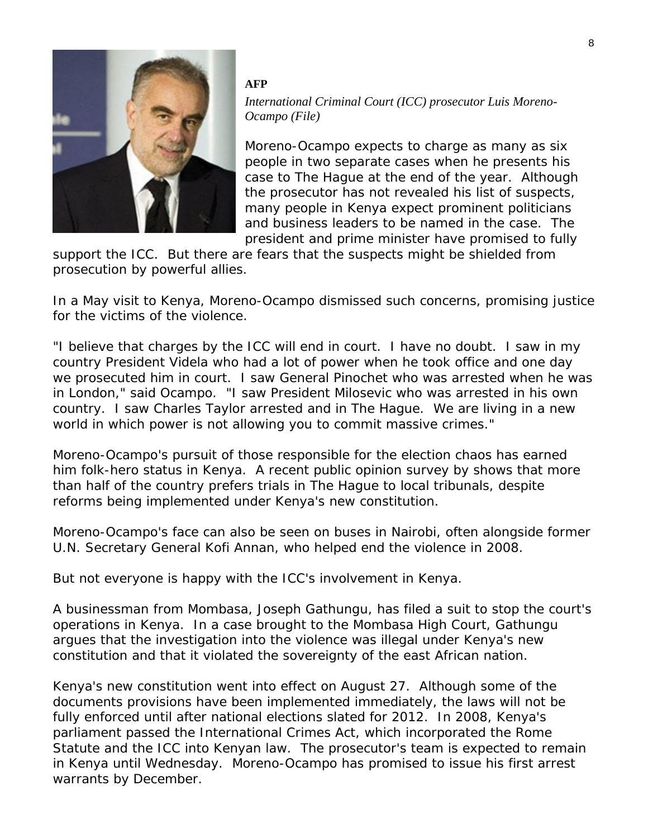

#### **AFP**

*International Criminal Court (ICC) prosecutor Luis Moreno-Ocampo (File)* 

Moreno-Ocampo expects to charge as many as six people in two separate cases when he presents his case to The Hague at the end of the year. Although the prosecutor has not revealed his list of suspects, many people in Kenya expect prominent politicians and business leaders to be named in the case. The president and prime minister have promised to fully

support the ICC. But there are fears that the suspects might be shielded from prosecution by powerful allies.

In a May visit to Kenya, Moreno-Ocampo dismissed such concerns, promising justice for the victims of the violence.

"I believe that charges by the ICC will end in court. I have no doubt. I saw in my country President Videla who had a lot of power when he took office and one day we prosecuted him in court. I saw General Pinochet who was arrested when he was in London," said Ocampo. "I saw President Milosevic who was arrested in his own country. I saw Charles Taylor arrested and in The Hague. We are living in a new world in which power is not allowing you to commit massive crimes."

Moreno-Ocampo's pursuit of those responsible for the election chaos has earned him folk-hero status in Kenya. A recent public opinion survey by shows that more than half of the country prefers trials in The Hague to local tribunals, despite reforms being implemented under Kenya's new constitution.

Moreno-Ocampo's face can also be seen on buses in Nairobi, often alongside former U.N. Secretary General Kofi Annan, who helped end the violence in 2008.

But not everyone is happy with the ICC's involvement in Kenya.

A businessman from Mombasa, Joseph Gathungu, has filed a suit to stop the court's operations in Kenya. In a case brought to the Mombasa High Court, Gathungu argues that the investigation into the violence was illegal under Kenya's new constitution and that it violated the sovereignty of the east African nation.

Kenya's new constitution went into effect on August 27. Although some of the documents provisions have been implemented immediately, the laws will not be fully enforced until after national elections slated for 2012. In 2008, Kenya's parliament passed the International Crimes Act, which incorporated the Rome Statute and the ICC into Kenyan law. The prosecutor's team is expected to remain in Kenya until Wednesday. Moreno-Ocampo has promised to issue his first arrest warrants by December.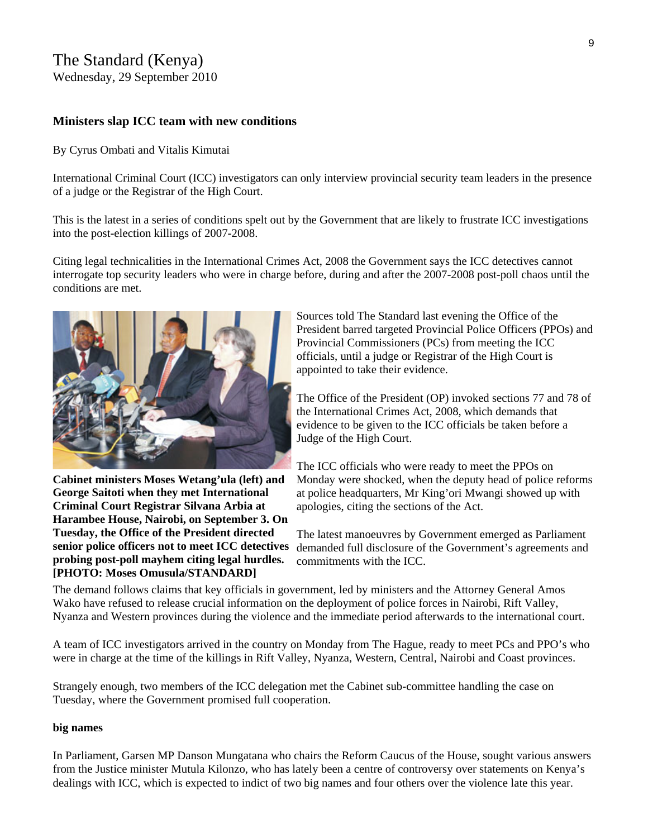# The Standard (Kenya)

Wednesday, 29 September 2010

### **Ministers slap ICC team with new conditions**

#### By Cyrus Ombati and Vitalis Kimutai

International Criminal Court (ICC) investigators can only interview provincial security team leaders in the presence of a judge or the Registrar of the High Court.

This is the latest in a series of conditions spelt out by the Government that are likely to frustrate ICC investigations into the post-election killings of 2007-2008.

Citing legal technicalities in the International Crimes Act, 2008 the Government says the ICC detectives cannot interrogate top security leaders who were in charge before, during and after the 2007-2008 post-poll chaos until the conditions are met.



**Cabinet ministers Moses Wetang'ula (left) and George Saitoti when they met International Criminal Court Registrar Silvana Arbia at Harambee House, Nairobi, on September 3. On Tuesday, the Office of the President directed senior police officers not to meet ICC detectives probing post-poll mayhem citing legal hurdles. [PHOTO: Moses Omusula/STANDARD]**

Sources told The Standard last evening the Office of the President barred targeted Provincial Police Officers (PPOs) and Provincial Commissioners (PCs) from meeting the ICC officials, until a judge or Registrar of the High Court is appointed to take their evidence.

The Office of the President (OP) invoked sections 77 and 78 of the International Crimes Act, 2008, which demands that evidence to be given to the ICC officials be taken before a Judge of the High Court.

The ICC officials who were ready to meet the PPOs on Monday were shocked, when the deputy head of police reforms at police headquarters, Mr King'ori Mwangi showed up with apologies, citing the sections of the Act.

The latest manoeuvres by Government emerged as Parliament demanded full disclosure of the Government's agreements and commitments with the ICC.

The demand follows claims that key officials in government, led by ministers and the Attorney General Amos Wako have refused to release crucial information on the deployment of police forces in Nairobi, Rift Valley, Nyanza and Western provinces during the violence and the immediate period afterwards to the international court.

A team of ICC investigators arrived in the country on Monday from The Hague, ready to meet PCs and PPO's who were in charge at the time of the killings in Rift Valley, Nyanza, Western, Central, Nairobi and Coast provinces.

Strangely enough, two members of the ICC delegation met the Cabinet sub-committee handling the case on Tuesday, where the Government promised full cooperation.

#### **big names**

In Parliament, Garsen MP Danson Mungatana who chairs the Reform Caucus of the House, sought various answers from the Justice minister Mutula Kilonzo, who has lately been a centre of controversy over statements on Kenya's dealings with ICC, which is expected to indict of two big names and four others over the violence late this year.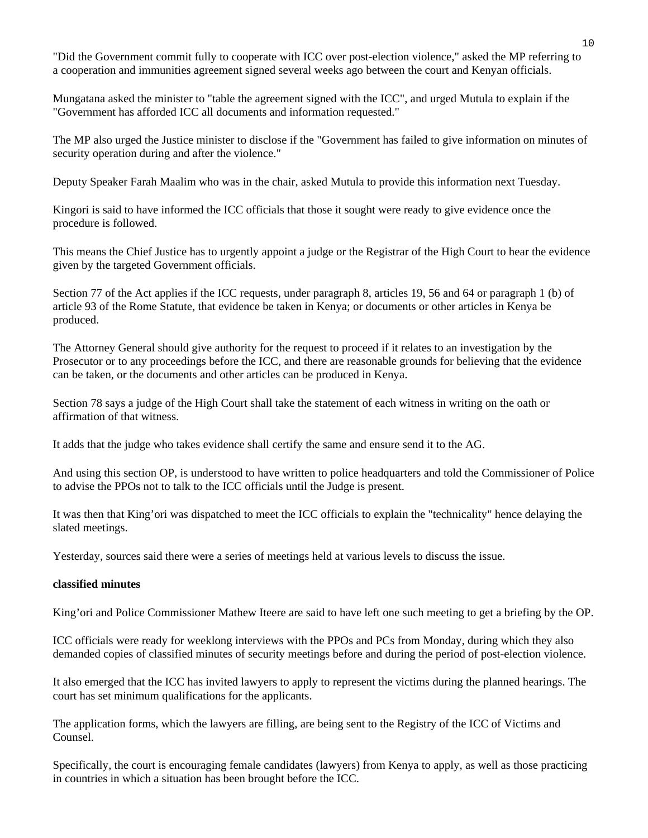"Did the Government commit fully to cooperate with ICC over post-election violence," asked the MP referring to a cooperation and immunities agreement signed several weeks ago between the court and Kenyan officials.

Mungatana asked the minister to "table the agreement signed with the ICC", and urged Mutula to explain if the "Government has afforded ICC all documents and information requested."

The MP also urged the Justice minister to disclose if the "Government has failed to give information on minutes of security operation during and after the violence."

Deputy Speaker Farah Maalim who was in the chair, asked Mutula to provide this information next Tuesday.

Kingori is said to have informed the ICC officials that those it sought were ready to give evidence once the procedure is followed.

This means the Chief Justice has to urgently appoint a judge or the Registrar of the High Court to hear the evidence given by the targeted Government officials.

Section 77 of the Act applies if the ICC requests, under paragraph 8, articles 19, 56 and 64 or paragraph 1 (b) of article 93 of the Rome Statute, that evidence be taken in Kenya; or documents or other articles in Kenya be produced.

The Attorney General should give authority for the request to proceed if it relates to an investigation by the Prosecutor or to any proceedings before the ICC, and there are reasonable grounds for believing that the evidence can be taken, or the documents and other articles can be produced in Kenya.

Section 78 says a judge of the High Court shall take the statement of each witness in writing on the oath or affirmation of that witness.

It adds that the judge who takes evidence shall certify the same and ensure send it to the AG.

And using this section OP, is understood to have written to police headquarters and told the Commissioner of Police to advise the PPOs not to talk to the ICC officials until the Judge is present.

It was then that King'ori was dispatched to meet the ICC officials to explain the "technicality" hence delaying the slated meetings.

Yesterday, sources said there were a series of meetings held at various levels to discuss the issue.

### **classified minutes**

King'ori and Police Commissioner Mathew Iteere are said to have left one such meeting to get a briefing by the OP.

ICC officials were ready for weeklong interviews with the PPOs and PCs from Monday, during which they also demanded copies of classified minutes of security meetings before and during the period of post-election violence.

It also emerged that the ICC has invited lawyers to apply to represent the victims during the planned hearings. The court has set minimum qualifications for the applicants.

The application forms, which the lawyers are filling, are being sent to the Registry of the ICC of Victims and Counsel.

Specifically, the court is encouraging female candidates (lawyers) from Kenya to apply, as well as those practicing in countries in which a situation has been brought before the ICC.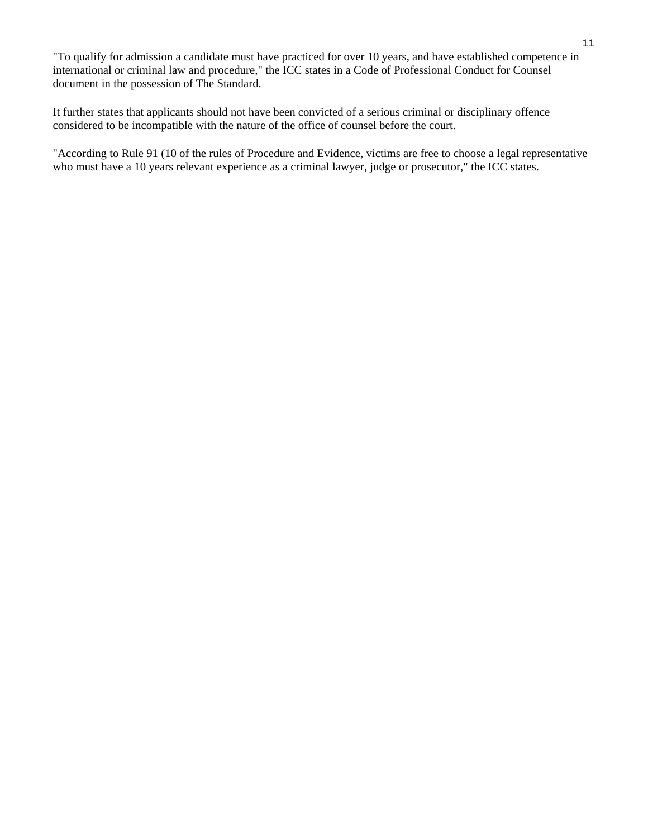"To qualify for admission a candidate must have practiced for over 10 years, and have established competence in international or criminal law and procedure," the ICC states in a Code of Professional Conduct for Counsel document in the possession of The Standard.

It further states that applicants should not have been convicted of a serious criminal or disciplinary offence considered to be incompatible with the nature of the office of counsel before the court.

"According to Rule 91 (10 of the rules of Procedure and Evidence, victims are free to choose a legal representative who must have a 10 years relevant experience as a criminal lawyer, judge or prosecutor," the ICC states.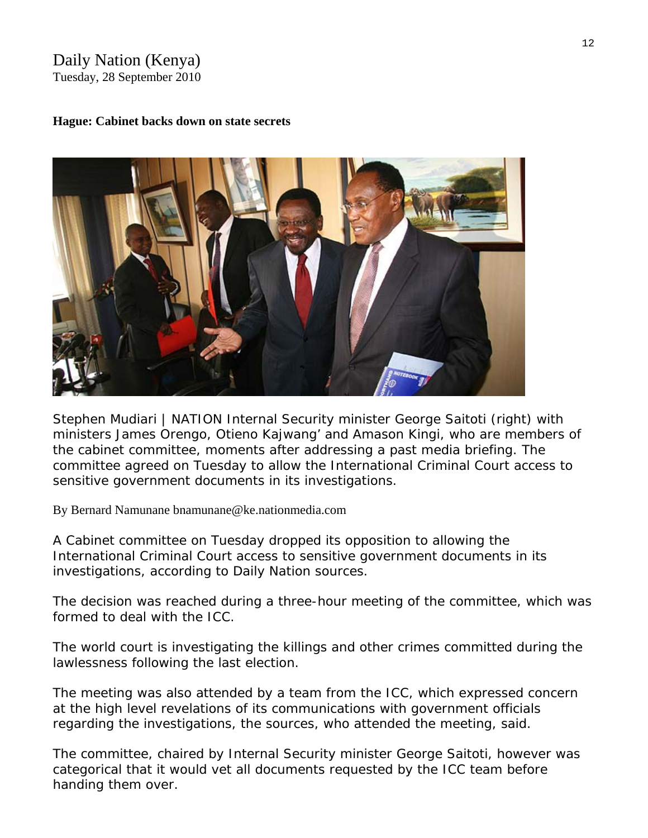# Daily Nation (Kenya) Tuesday, 28 September 2010

### **Hague: Cabinet backs down on state secrets**



*Stephen Mudiari | NATION Internal Security minister George Saitoti (right) with ministers James Orengo, Otieno Kajwang' and Amason Kingi, who are members of the cabinet committee, moments after addressing a past media briefing. The committee agreed on Tuesday to allow the International Criminal Court access to sensitive government documents in its investigations.* 

By Bernard Namunane [bnamunane@ke.nationmedia.com](mailto:bnamunane@ke.nationmedia.com) 

A Cabinet committee on Tuesday dropped its opposition to allowing the International Criminal Court access to sensitive government documents in its investigations, according to *Daily Nation* sources.

The decision was reached during a three-hour meeting of the committee, which was formed to deal with the ICC.

The world court is investigating the killings and other crimes committed during the lawlessness following the last election.

The meeting was also attended by a team from the ICC, which expressed concern at the high level revelations of its communications with government officials regarding the investigations, the sources, who attended the meeting, said.

The committee, chaired by Internal Security minister George Saitoti, however was categorical that it would vet all documents requested by the ICC team before handing them over.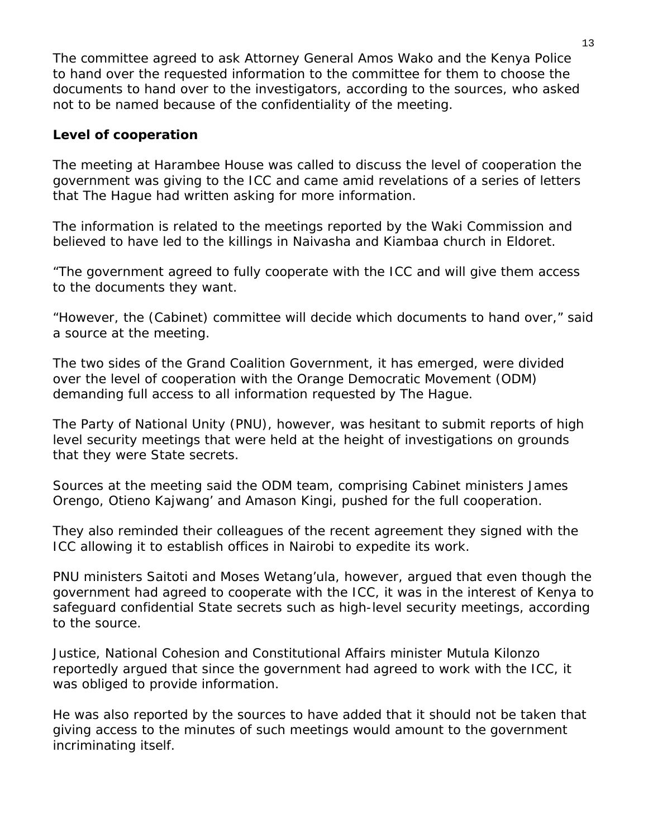The committee agreed to ask Attorney General Amos Wako and the Kenya Police to hand over the requested information to the committee for them to choose the documents to hand over to the investigators, according to the sources, who asked not to be named because of the confidentiality of the meeting.

# **Level of cooperation**

The meeting at Harambee House was called to discuss the level of cooperation the government was giving to the ICC and came amid revelations of a series of letters that The Hague had written asking for more information.

The information is related to the meetings reported by the Waki Commission and believed to have led to the killings in Naivasha and Kiambaa church in Eldoret.

"The government agreed to fully cooperate with the ICC and will give them access to the documents they want.

"However, the (Cabinet) committee will decide which documents to hand over," said a source at the meeting.

The two sides of the Grand Coalition Government, it has emerged, were divided over the level of cooperation with the Orange Democratic Movement (ODM) demanding full access to all information requested by The Hague.

The Party of National Unity (PNU), however, was hesitant to submit reports of high level security meetings that were held at the height of investigations on grounds that they were State secrets.

Sources at the meeting said the ODM team, comprising Cabinet ministers James Orengo, Otieno Kajwang' and Amason Kingi, pushed for the full cooperation.

They also reminded their colleagues of the recent agreement they signed with the ICC allowing it to establish offices in Nairobi to expedite its work.

PNU ministers Saitoti and Moses Wetang'ula, however, argued that even though the government had agreed to cooperate with the ICC, it was in the interest of Kenya to safeguard confidential State secrets such as high-level security meetings, according to the source.

Justice, National Cohesion and Constitutional Affairs minister Mutula Kilonzo reportedly argued that since the government had agreed to work with the ICC, it was obliged to provide information.

He was also reported by the sources to have added that it should not be taken that giving access to the minutes of such meetings would amount to the government incriminating itself.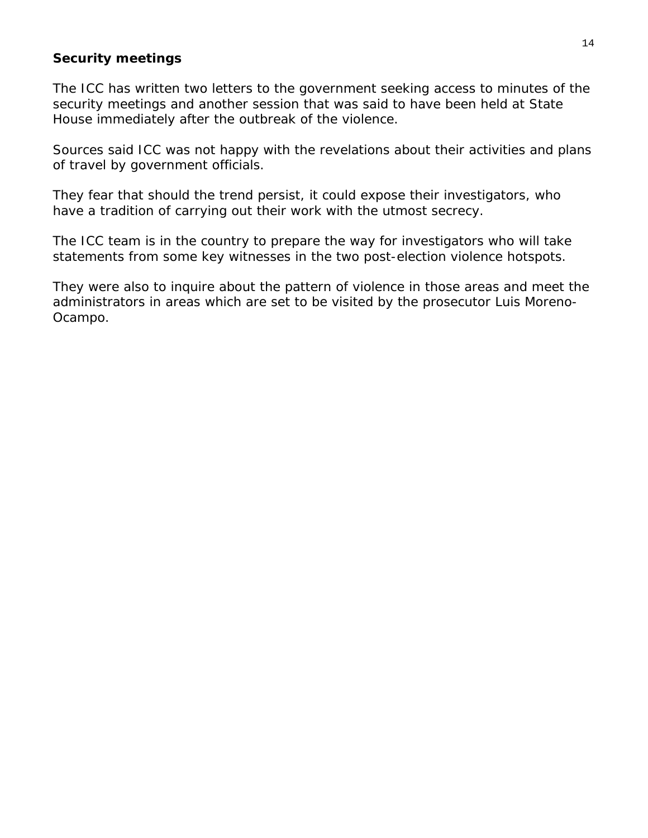# **Security meetings**

The ICC has written two letters to the government seeking access to minutes of the security meetings and another session that was said to have been held at State House immediately after the outbreak of the violence.

Sources said ICC was not happy with the revelations about their activities and plans of travel by government officials.

They fear that should the trend persist, it could expose their investigators, who have a tradition of carrying out their work with the utmost secrecy.

The ICC team is in the country to prepare the way for investigators who will take statements from some key witnesses in the two post-election violence hotspots.

They were also to inquire about the pattern of violence in those areas and meet the administrators in areas which are set to be visited by the prosecutor Luis Moreno-Ocampo.